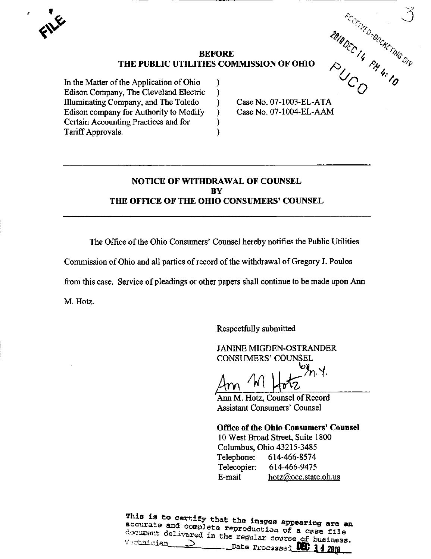**Ky** 

# BEFORE TIES COMMISSION OF OHIO  $\begin{array}{cc} \frac{\partial u_{\theta}}{\partial z} & \frac{\partial u_{\zeta}}{\partial y} \frac{\partial u_{\zeta}}{\partial z} \frac{\partial u_{\zeta}}{\partial x} & \frac{\partial u_{\zeta}}{\partial y} \frac{\partial u_{\zeta}}{\partial y} \frac{\partial u_{\zeta}}{\partial y} & \frac{\partial u_{\zeta}}{\partial z} \frac{\partial u_{\zeta}}{\partial x} & \frac{\partial u_{\zeta}}{\partial x} & \frac{\partial u_{\zeta}}{\partial x} & \frac{\partial u_{\zeta}}{\partial x} & \frac{\partial u_{\z$ THE PUBLIC UTILITIES COMMISSION OF OHIO

℩ ) ℩ ℩ ì Y

In the Matter of the Application of Ohio Edison Company, The Cleveland Electric lllimiinating Company, and The Toledo Edison company for Authority to Modify Certain Accounting Practices and for Tariff Approvals.

Case No. 07-1003-EL-ATA Case No. 07-1004-EL-AAM

# NOTICE OF WITHDRAWAL OF COUNSEL BY THE OFFICE OF THE OHIO CONSUMERS' COUNSEL

The Office of the Ohio Consumers' Counsel hereby notifies the Pubhc Utilities

Commission of Ohio and all parties of record of the withdrawal of Gregory J. Poulos

from this case. Service of pleadings or other papers shall continue to be made upon Ann

M. Hotz.

Respectfully submitted

JANINE MIGDEN-OSTRANDER CONSUMERS' COUNSEL

 $Am$   $M$   $H_{\text{o}}tz$   $m$ .

 $A = \{A, B, C\}$  Counsel of Record Assistant Consumers' Counsel

### Office of the Ohio Consumers' Counsel

10 West Broad Street, Suite 1800 Columbus, Ohio 43215-3485 Telephone: 614-466-8574 Telecopier: 614-466-9475 E-mail [hotz@occ.state.oh.us](mailto:hotz@occ.state.oh.us)

This is to certify that the images appearing are an accurate and complete reproduction of a  $\text{``chain of vertices of brightness.}\n \text{``chain of the regular course of brightness.}\n \text{''}$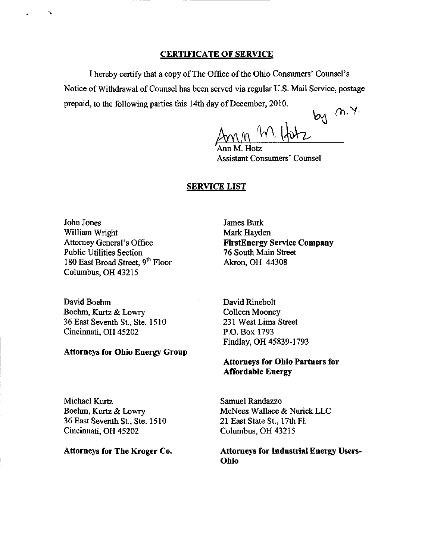#### CERTIFICATE OF SERVICE

I hereby certify that a copy of The Office of the Ohio Consumers' Counsel's Notice of Withdrawal of Counsel has been served via regular U.S. Mail Service, postage prepaid, to the following parties this 14th day of December, 2010.

 $89$  m.y.

Ann M. Hotz Assistant Consumers' Counsel

#### SERVICE LIST

John Jones William Wright Attomey General's Office Public Utilities Section 180 East Broad Street, 9<sup>th</sup> Floor Columbus, OH 43215

David Boehm Boehm, Kurtz & Lowry 36 East Seventh St., Ste. 1510 Cincinnati, OH 45202

#### Attorneys for Ohio Energy Group

James Burk Mark Hayden FirstEnergy Service Company 76 South Main Street Akron, OH 44308

David Rinebolt Colleen Mooney 231 West Lima Street P.O. Box 1793 Findlay, OH 45839-1793

## Attorneys for Ohio Partners for **Affordable Energy**

Michael Kurtz Boehm, Kurtz & Lowry 36 East Seventh St., Ste. 1510 Cincinnati, OH 45202

Attorneys for The Kroger Co.

Samuel Randazzo McNees Wallace & Nurick LLC 21 East State St., 17th Fl. Columbus, OH 43215

Attorneys for Industrial Energy Users-Ohio